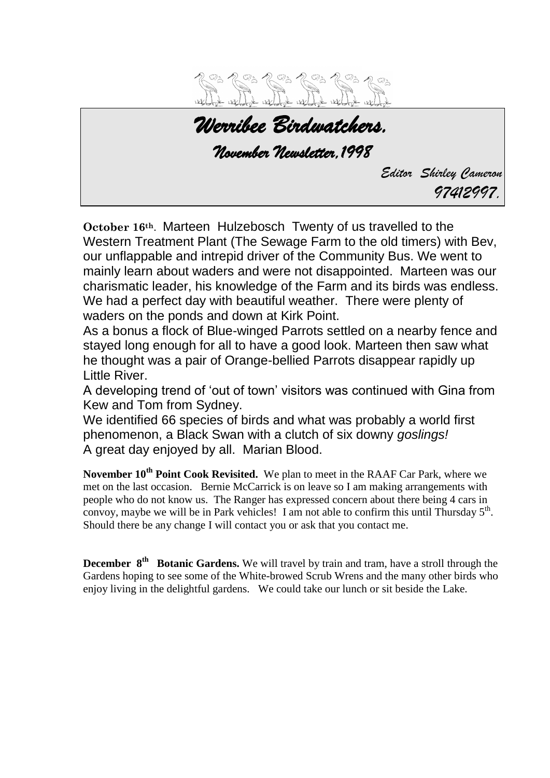

*Werribee Birdwatchers. November Newsletter,1998 Editor Shirley Cameron 97412997.*

**October 16th**. Marteen Hulzebosch Twenty of us travelled to the Western Treatment Plant (The Sewage Farm to the old timers) with Bev, our unflappable and intrepid driver of the Community Bus. We went to mainly learn about waders and were not disappointed. Marteen was our charismatic leader, his knowledge of the Farm and its birds was endless. We had a perfect day with beautiful weather. There were plenty of waders on the ponds and down at Kirk Point.

As a bonus a flock of Blue-winged Parrots settled on a nearby fence and stayed long enough for all to have a good look. Marteen then saw what he thought was a pair of Orange-bellied Parrots disappear rapidly up Little River.

A developing trend of 'out of town' visitors was continued with Gina from Kew and Tom from Sydney.

We identified 66 species of birds and what was probably a world first phenomenon, a Black Swan with a clutch of six downy *goslings!* A great day enjoyed by all. Marian Blood.

**November 10th Point Cook Revisited.** We plan to meet in the RAAF Car Park, where we met on the last occasion. Bernie McCarrick is on leave so I am making arrangements with people who do not know us. The Ranger has expressed concern about there being 4 cars in convoy, maybe we will be in Park vehicles! I am not able to confirm this until Thursday  $5<sup>th</sup>$ . Should there be any change I will contact you or ask that you contact me.

**December 8<sup>th</sup> Botanic Gardens.** We will travel by train and tram, have a stroll through the Gardens hoping to see some of the White-browed Scrub Wrens and the many other birds who enjoy living in the delightful gardens. We could take our lunch or sit beside the Lake.